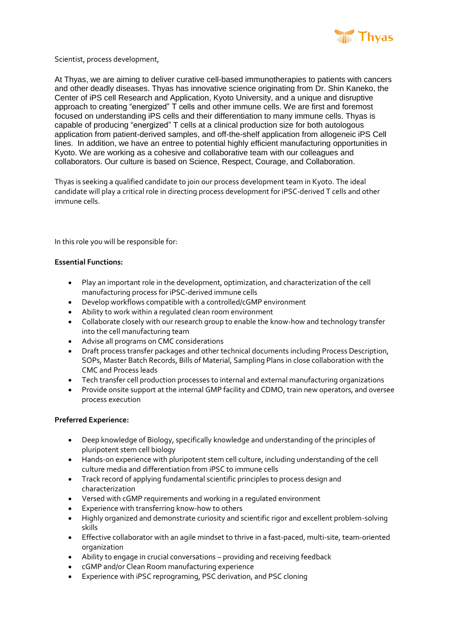

Scientist, process development,

At Thyas, we are aiming to deliver curative cell-based immunotherapies to patients with cancers and other deadly diseases. Thyas has innovative science originating from Dr. Shin Kaneko, the Center of iPS cell Research and Application, Kyoto University, and a unique and disruptive approach to creating "energized" T cells and other immune cells. We are first and foremost focused on understanding iPS cells and their differentiation to many immune cells. Thyas is capable of producing "energized" T cells at a clinical production size for both autologous application from patient-derived samples, and off-the-shelf application from allogeneic iPS Cell lines. In addition, we have an entree to potential highly efficient manufacturing opportunities in Kyoto. We are working as a cohesive and collaborative team with our colleagues and collaborators. Our culture is based on Science, Respect, Courage, and Collaboration.

Thyas is seeking a qualified candidate to join our process development team in Kyoto. The ideal candidate will play a critical role in directing process development for iPSC-derived T cells and other immune cells.

In this role you will be responsible for:

## **Essential Functions:**

- Play an important role in the development, optimization, and characterization of the cell manufacturing process for iPSC-derived immune cells
- Develop workflows compatible with a controlled/cGMP environment
- Ability to work within a regulated clean room environment
- Collaborate closely with our research group to enable the know-how and technology transfer into the cell manufacturing team
- Advise all programs on CMC considerations
- Draft process transfer packages and other technical documents including Process Description, SOPs, Master Batch Records, Bills of Material, Sampling Plans in close collaboration with the CMC and Process leads
- Tech transfer cell production processes to internal and external manufacturing organizations
- Provide onsite support at the internal GMP facility and CDMO, train new operators, and oversee process execution

## **Preferred Experience:**

- Deep knowledge of Biology, specifically knowledge and understanding of the principles of pluripotent stem cell biology
- Hands-on experience with pluripotent stem cell culture, including understanding of the cell culture media and differentiation from iPSC to immune cells
- Track record of applying fundamental scientific principles to process design and characterization
- Versed with cGMP requirements and working in a regulated environment
- Experience with transferring know-how to others
- Highly organized and demonstrate curiosity and scientific rigor and excellent problem-solving skills
- Effective collaborator with an agile mindset to thrive in a fast-paced, multi-site, team-oriented organization
- Ability to engage in crucial conversations providing and receiving feedback
- cGMP and/or Clean Room manufacturing experience
- Experience with iPSC reprograming, PSC derivation, and PSC cloning